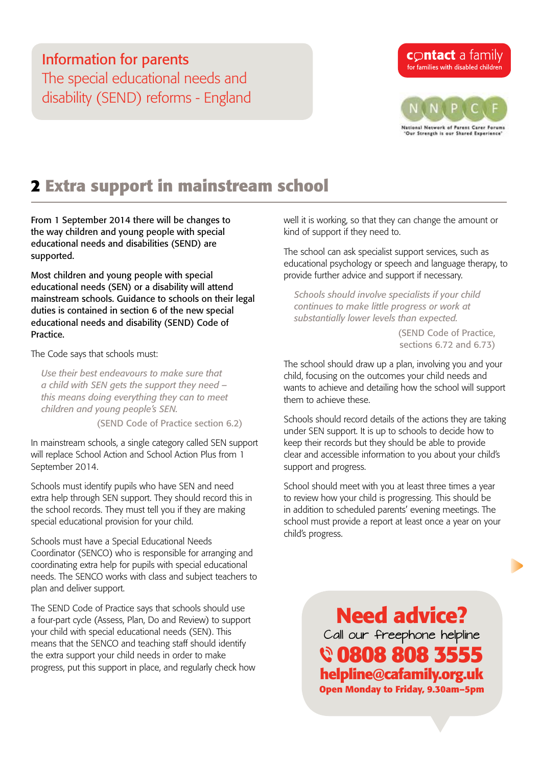### Information for parents The special educational needs and disability (SEND) reforms - England

# **contact** a family for families with disabled children



# **2 Extra support in mainstream school**

From 1 September 2014 there will be changes to the way children and young people with special educational needs and disabilities (SEND) are supported.

Most children and young people with special educational needs (SEN) or a disability will attend mainstream schools. Guidance to schools on their legal duties is contained in section 6 of the new [special](https://www.gov.uk/government/uploads/system/uploads/attachment_data/file/338195/Code_of_Practice_approved_by_Parliament_290714.pdf)  [educational needs and disability \(SEND\) Code of](https://www.gov.uk/government/uploads/system/uploads/attachment_data/file/338195/Code_of_Practice_approved_by_Parliament_290714.pdf)  [Practice.](https://www.gov.uk/government/uploads/system/uploads/attachment_data/file/338195/Code_of_Practice_approved_by_Parliament_290714.pdf)

The Code says that schools must:

*Use their best endeavours to make sure that a child with SEN gets the support they need – this means doing everything they can to meet children and young people's SEN.*

(SEND Code of Practice section 6.2)

In mainstream schools, a single category called SEN support will replace School Action and School Action Plus from 1 September 2014.

Schools must identify pupils who have SEN and need extra help through SEN support. They should record this in the school records. They must tell you if they are making special educational provision for your child.

Schools must have a Special Educational Needs Coordinator (SENCO) who is responsible for arranging and coordinating extra help for pupils with special educational needs. The SENCO works with class and subject teachers to plan and deliver support.

The SEND Code of Practice says that schools should use a four-part cycle (Assess, Plan, Do and Review) to support your child with special educational needs (SEN). This means that the SENCO and teaching staff should identify the extra support your child needs in order to make progress, put this support in place, and regularly check how well it is working, so that they can change the amount or kind of support if they need to.

The school can ask specialist support services, such as educational psychology or speech and language therapy, to provide further advice and support if necessary.

*Schools should involve specialists if your child continues to make little progress or work at substantially lower levels than expected.* 

> (SEND Code of Practice, sections 6.72 and 6.73)

The school should draw up a plan, involving you and your child, focusing on the outcomes your child needs and wants to achieve and detailing how the school will support them to achieve these.

Schools should record details of the actions they are taking under SEN support. It is up to schools to decide how to keep their records but they should be able to provide clear and accessible information to you about your child's support and progress.

School should meet with you at least three times a year to review how your child is progressing. This should be in addition to scheduled parents' evening meetings. The school must provide a report at least once a year on your child's progress.

> **Need advice?** Call our freephone helpline  **0808 808 3555 helpline@cafamily.org.uk Open Monday to Friday, 9.30am–5pm**